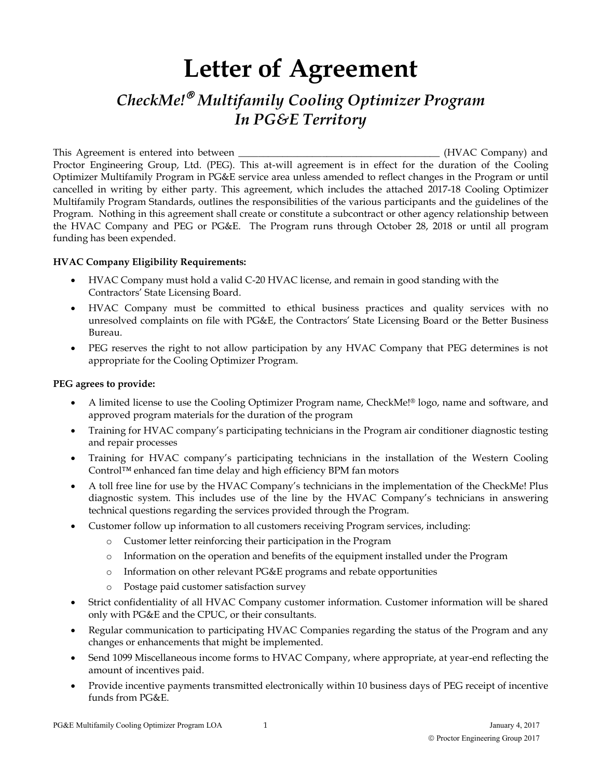# **Letter of Agreement**

# *CheckMe!*£ *Multifamily Cooling Optimizer Program In PG&E Territory*

This Agreement is entered into between \_\_\_\_\_\_\_\_\_\_\_\_\_\_\_\_\_\_\_\_\_\_\_\_\_\_\_\_\_\_\_\_\_\_\_\_\_\_\_\_\_ (HVAC Company) and Proctor Engineering Group, Ltd. (PEG). This at-will agreement is in effect for the duration of the Cooling Optimizer Multifamily Program in PG&E service area unless amended to reflect changes in the Program or until cancelled in writing by either party. This agreement, which includes the attached 2017-18 Cooling Optimizer Multifamily Program Standards, outlines the responsibilities of the various participants and the guidelines of the Program. Nothing in this agreement shall create or constitute a subcontract or other agency relationship between the HVAC Company and PEG or PG&E. The Program runs through October 28, 2018 or until all program funding has been expended.

# **HVAC Company Eligibility Requirements:**

- HVAC Company must hold a valid C-20 HVAC license, and remain in good standing with the Contractors' State Licensing Board.
- HVAC Company must be committed to ethical business practices and quality services with no unresolved complaints on file with PG&E, the Contractors' State Licensing Board or the Better Business Bureau.
- PEG reserves the right to not allow participation by any HVAC Company that PEG determines is not appropriate for the Cooling Optimizer Program.

#### **PEG agrees to provide:**

- x A limited license to use the Cooling Optimizer Program name, CheckMe!® logo, name and software, and approved program materials for the duration of the program
- Training for HVAC company's participating technicians in the Program air conditioner diagnostic testing and repair processes
- x Training for HVAC company's participating technicians in the installation of the Western Cooling Control™ enhanced fan time delay and high efficiency BPM fan motors
- x A toll free line for use by the HVAC Company's technicians in the implementation of the CheckMe! Plus diagnostic system. This includes use of the line by the HVAC Company's technicians in answering technical questions regarding the services provided through the Program.
- Customer follow up information to all customers receiving Program services, including:
	- o Customer letter reinforcing their participation in the Program
	- o Information on the operation and benefits of the equipment installed under the Program
	- o Information on other relevant PG&E programs and rebate opportunities
	- o Postage paid customer satisfaction survey
- Strict confidentiality of all HVAC Company customer information. Customer information will be shared only with PG&E and the CPUC, or their consultants.
- x Regular communication to participating HVAC Companies regarding the status of the Program and any changes or enhancements that might be implemented.
- Send 1099 Miscellaneous income forms to HVAC Company, where appropriate, at year-end reflecting the amount of incentives paid.
- Provide incentive payments transmitted electronically within 10 business days of PEG receipt of incentive funds from PG&E.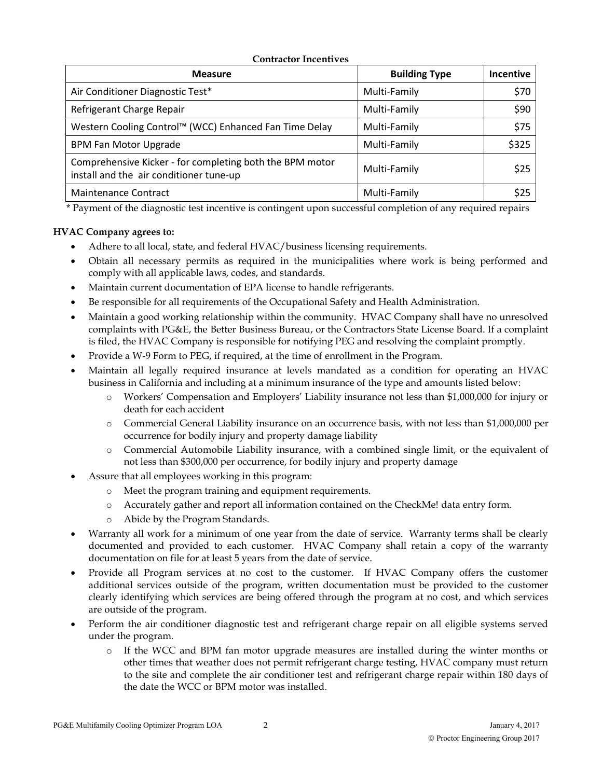#### **Contractor Incentives**

| <b>Measure</b>                                                                                      | <b>Building Type</b> | <b>Incentive</b> |
|-----------------------------------------------------------------------------------------------------|----------------------|------------------|
| Air Conditioner Diagnostic Test*                                                                    | Multi-Family         | \$70             |
| Refrigerant Charge Repair                                                                           | Multi-Family         | \$90             |
| Western Cooling Control™ (WCC) Enhanced Fan Time Delay                                              | Multi-Family         | \$75             |
| <b>BPM Fan Motor Upgrade</b>                                                                        | Multi-Family         | \$325            |
| Comprehensive Kicker - for completing both the BPM motor<br>install and the air conditioner tune-up | Multi-Family         | \$25             |
| Maintenance Contract                                                                                | Multi-Family         | \$25             |

\* Payment of the diagnostic test incentive is contingent upon successful completion of any required repairs

# **HVAC Company agrees to:**

- Adhere to all local, state, and federal HVAC/business licensing requirements.
- x Obtain all necessary permits as required in the municipalities where work is being performed and comply with all applicable laws, codes, and standards.
- Maintain current documentation of EPA license to handle refrigerants.
- Be responsible for all requirements of the Occupational Safety and Health Administration.
- x Maintain a good working relationship within the community. HVAC Company shall have no unresolved complaints with PG&E, the Better Business Bureau, or the Contractors State License Board. If a complaint is filed, the HVAC Company is responsible for notifying PEG and resolving the complaint promptly.
- Provide a W-9 Form to PEG, if required, at the time of enrollment in the Program.
- x Maintain all legally required insurance at levels mandated as a condition for operating an HVAC business in California and including at a minimum insurance of the type and amounts listed below:
	- o Workers' Compensation and Employers' Liability insurance not less than \$1,000,000 for injury or death for each accident
	- o Commercial General Liability insurance on an occurrence basis, with not less than \$1,000,000 per occurrence for bodily injury and property damage liability
	- o Commercial Automobile Liability insurance, with a combined single limit, or the equivalent of not less than \$300,000 per occurrence, for bodily injury and property damage
- Assure that all employees working in this program:
	- o Meet the program training and equipment requirements.
	- o Accurately gather and report all information contained on the CheckMe! data entry form.
	- o Abide by the Program Standards.
- Warranty all work for a minimum of one year from the date of service. Warranty terms shall be clearly documented and provided to each customer. HVAC Company shall retain a copy of the warranty documentation on file for at least 5 years from the date of service.
- Provide all Program services at no cost to the customer. If HVAC Company offers the customer additional services outside of the program, written documentation must be provided to the customer clearly identifying which services are being offered through the program at no cost, and which services are outside of the program.
- Perform the air conditioner diagnostic test and refrigerant charge repair on all eligible systems served under the program.
	- o If the WCC and BPM fan motor upgrade measures are installed during the winter months or other times that weather does not permit refrigerant charge testing, HVAC company must return to the site and complete the air conditioner test and refrigerant charge repair within 180 days of the date the WCC or BPM motor was installed.